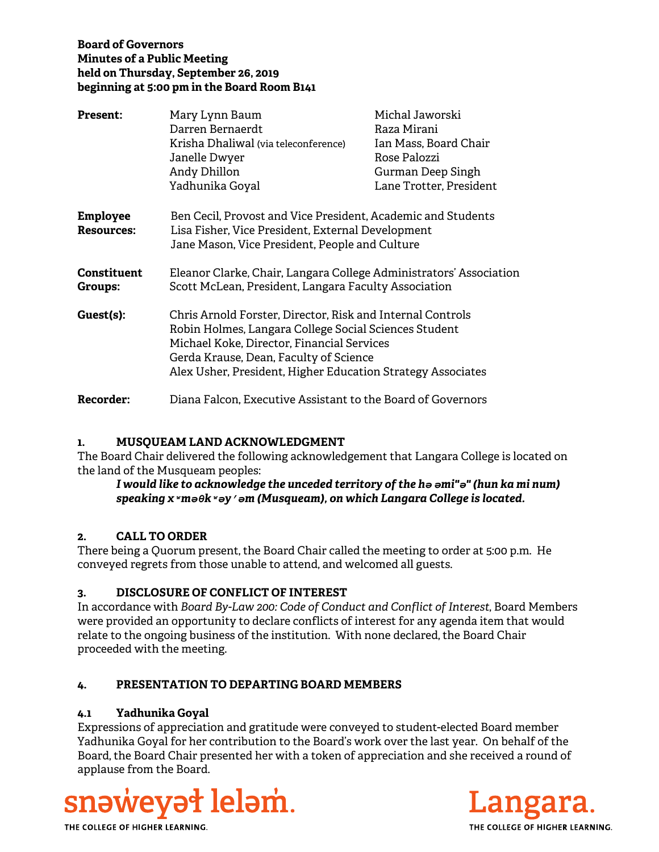# **Board of Governors Minutes of a Public Meeting held on Thursday, September 26, 2019 beginning at 5:00 pm in the Board Room B141**

| <b>Present:</b>                      | Mary Lynn Baum                                                                                                                                                                                                                                                             | Michal Jaworski         |
|--------------------------------------|----------------------------------------------------------------------------------------------------------------------------------------------------------------------------------------------------------------------------------------------------------------------------|-------------------------|
|                                      | Darren Bernaerdt                                                                                                                                                                                                                                                           | Raza Mirani             |
|                                      | Krisha Dhaliwal (via teleconference)                                                                                                                                                                                                                                       | Ian Mass, Board Chair   |
|                                      | Janelle Dwyer                                                                                                                                                                                                                                                              | Rose Palozzi            |
|                                      | Andy Dhillon                                                                                                                                                                                                                                                               | Gurman Deep Singh       |
|                                      | Yadhunika Goyal                                                                                                                                                                                                                                                            | Lane Trotter, President |
| <b>Employee</b><br><b>Resources:</b> | Ben Cecil, Provost and Vice President, Academic and Students<br>Lisa Fisher, Vice President, External Development<br>Jane Mason, Vice President, People and Culture                                                                                                        |                         |
| Constituent<br>Groups:               | Eleanor Clarke, Chair, Langara College Administrators' Association<br>Scott McLean, President, Langara Faculty Association                                                                                                                                                 |                         |
| Guest(s):                            | Chris Arnold Forster, Director, Risk and Internal Controls<br>Robin Holmes, Langara College Social Sciences Student<br>Michael Koke, Director, Financial Services<br>Gerda Krause, Dean, Faculty of Science<br>Alex Usher, President, Higher Education Strategy Associates |                         |
| Recorder:                            | Diana Falcon, Executive Assistant to the Board of Governors                                                                                                                                                                                                                |                         |

## **1. MUSQUEAM LAND ACKNOWLEDGMENT**

The Board Chair delivered the following acknowledgement that Langara College is located on the land of the Musqueam peoples:

## *I would like to acknowledge the unceded territory of the hә әmi"ә" (hun ka mi num) speaking xʷmәθkʷәy̓әm (Musqueam), on which Langara College is located.*

## **2. CALL TO ORDER**

There being a Quorum present, the Board Chair called the meeting to order at 5:00 p.m. He conveyed regrets from those unable to attend, and welcomed all guests.

## **3. DISCLOSURE OF CONFLICT OF INTEREST**

In accordance with *Board By-Law 200: Code of Conduct and Conflict of Interest*, Board Members were provided an opportunity to declare conflicts of interest for any agenda item that would relate to the ongoing business of the institution. With none declared, the Board Chair proceeded with the meeting.

## **4. PRESENTATION TO DEPARTING BOARD MEMBERS**

## **4.1 Yadhunika Goyal**

Expressions of appreciation and gratitude were conveyed to student-elected Board member Yadhunika Goyal for her contribution to the Board's work over the last year. On behalf of the Board, the Board Chair presented her with a token of appreciation and she received a round of applause from the Board.



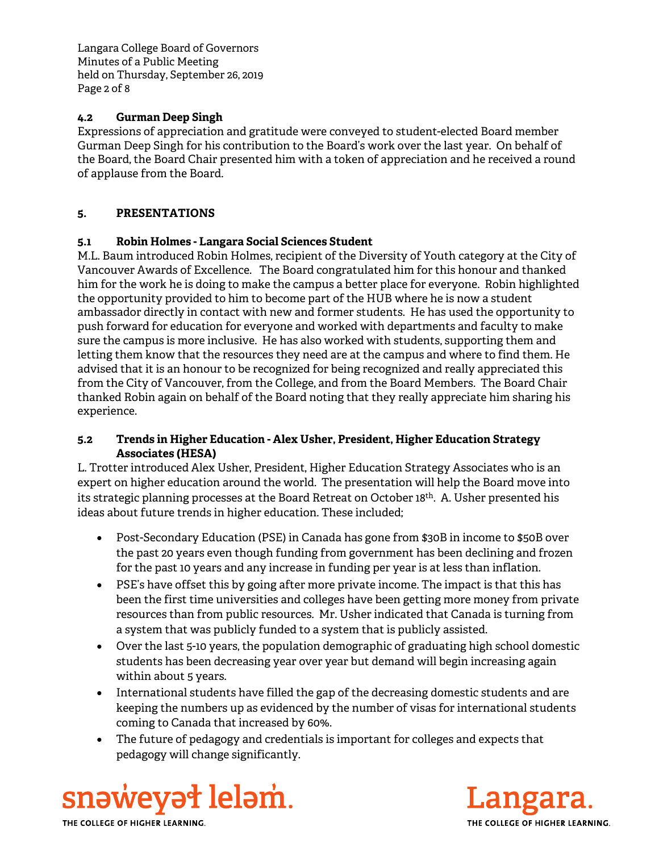Langara College Board of Governors Minutes of a Public Meeting held on Thursday, September 26, 2019 Page 2 of 8

## **4.2 Gurman Deep Singh**

Expressions of appreciation and gratitude were conveyed to student-elected Board member Gurman Deep Singh for his contribution to the Board's work over the last year. On behalf of the Board, the Board Chair presented him with a token of appreciation and he received a round of applause from the Board.

# **5. PRESENTATIONS**

## **5.1 Robin Holmes - Langara Social Sciences Student**

M.L. Baum introduced Robin Holmes, recipient of the Diversity of Youth category at the City of Vancouver Awards of Excellence. The Board congratulated him for this honour and thanked him for the work he is doing to make the campus a better place for everyone. Robin highlighted the opportunity provided to him to become part of the HUB where he is now a student ambassador directly in contact with new and former students. He has used the opportunity to push forward for education for everyone and worked with departments and faculty to make sure the campus is more inclusive. He has also worked with students, supporting them and letting them know that the resources they need are at the campus and where to find them. He advised that it is an honour to be recognized for being recognized and really appreciated this from the City of Vancouver, from the College, and from the Board Members. The Board Chair thanked Robin again on behalf of the Board noting that they really appreciate him sharing his experience.

## **5.2 Trends in Higher Education - Alex Usher, President, Higher Education Strategy Associates (HESA)**

L. Trotter introduced Alex Usher, President, Higher Education Strategy Associates who is an expert on higher education around the world. The presentation will help the Board move into its strategic planning processes at the Board Retreat on October 18th. A. Usher presented his ideas about future trends in higher education. These included;

- Post-Secondary Education (PSE) in Canada has gone from \$30B in income to \$50B over the past 20 years even though funding from government has been declining and frozen for the past 10 years and any increase in funding per year is at less than inflation.
- PSE's have offset this by going after more private income. The impact is that this has been the first time universities and colleges have been getting more money from private resources than from public resources. Mr. Usher indicated that Canada is turning from a system that was publicly funded to a system that is publicly assisted.
- Over the last 5-10 years, the population demographic of graduating high school domestic students has been decreasing year over year but demand will begin increasing again within about 5 years.
- International students have filled the gap of the decreasing domestic students and are keeping the numbers up as evidenced by the number of visas for international students coming to Canada that increased by 60%.
- The future of pedagogy and credentials is important for colleges and expects that pedagogy will change significantly.



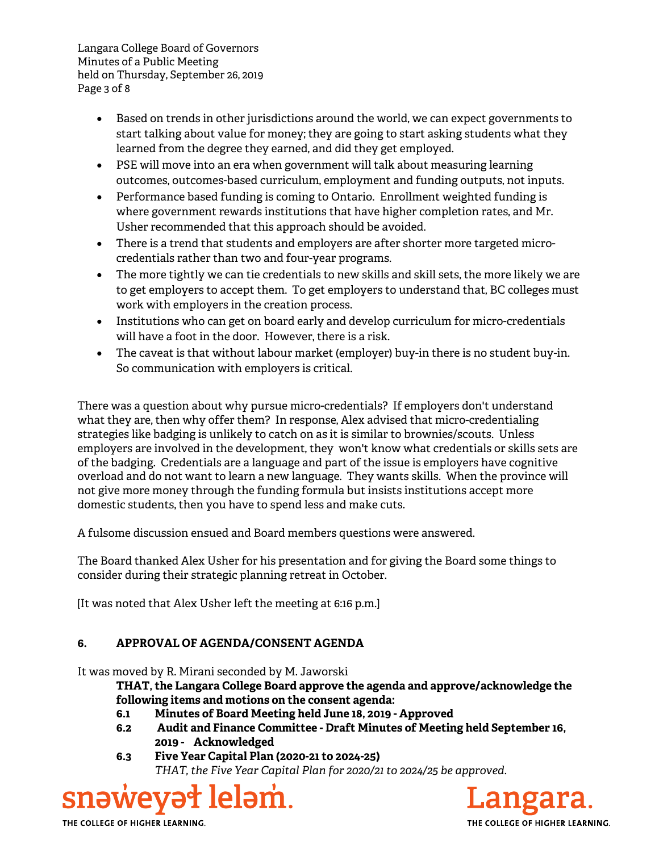Langara College Board of Governors Minutes of a Public Meeting held on Thursday, September 26, 2019 Page 3 of 8

- Based on trends in other jurisdictions around the world, we can expect governments to start talking about value for money; they are going to start asking students what they learned from the degree they earned, and did they get employed.
- PSE will move into an era when government will talk about measuring learning outcomes, outcomes-based curriculum, employment and funding outputs, not inputs.
- Performance based funding is coming to Ontario. Enrollment weighted funding is where government rewards institutions that have higher completion rates, and Mr. Usher recommended that this approach should be avoided.
- There is a trend that students and employers are after shorter more targeted microcredentials rather than two and four-year programs.
- The more tightly we can tie credentials to new skills and skill sets, the more likely we are to get employers to accept them. To get employers to understand that, BC colleges must work with employers in the creation process.
- Institutions who can get on board early and develop curriculum for micro-credentials will have a foot in the door. However, there is a risk.
- The caveat is that without labour market (employer) buy-in there is no student buy-in. So communication with employers is critical.

There was a question about why pursue micro-credentials? If employers don't understand what they are, then why offer them? In response, Alex advised that micro-credentialing strategies like badging is unlikely to catch on as it is similar to brownies/scouts. Unless employers are involved in the development, they won't know what credentials or skills sets are of the badging. Credentials are a language and part of the issue is employers have cognitive overload and do not want to learn a new language. They wants skills. When the province will not give more money through the funding formula but insists institutions accept more domestic students, then you have to spend less and make cuts.

A fulsome discussion ensued and Board members questions were answered.

The Board thanked Alex Usher for his presentation and for giving the Board some things to consider during their strategic planning retreat in October.

[It was noted that Alex Usher left the meeting at 6:16 p.m.]

# **6. APPROVAL OF AGENDA/CONSENT AGENDA**

It was moved by R. Mirani seconded by M. Jaworski

**THAT, the Langara College Board approve the agenda and approve/acknowledge the following items and motions on the consent agenda:**

- **6.1 Minutes of Board Meeting held June 18, 2019 Approved**
- **6.2 Audit and Finance Committee Draft Minutes of Meeting held September 16, 2019 - Acknowledged**
- **6.3 Five Year Capital Plan (2020-21 to 2024-25)** *THAT, the Five Year Capital Plan for 2020/21 to 2024/25 be approved.*

# snəweyət leləm.

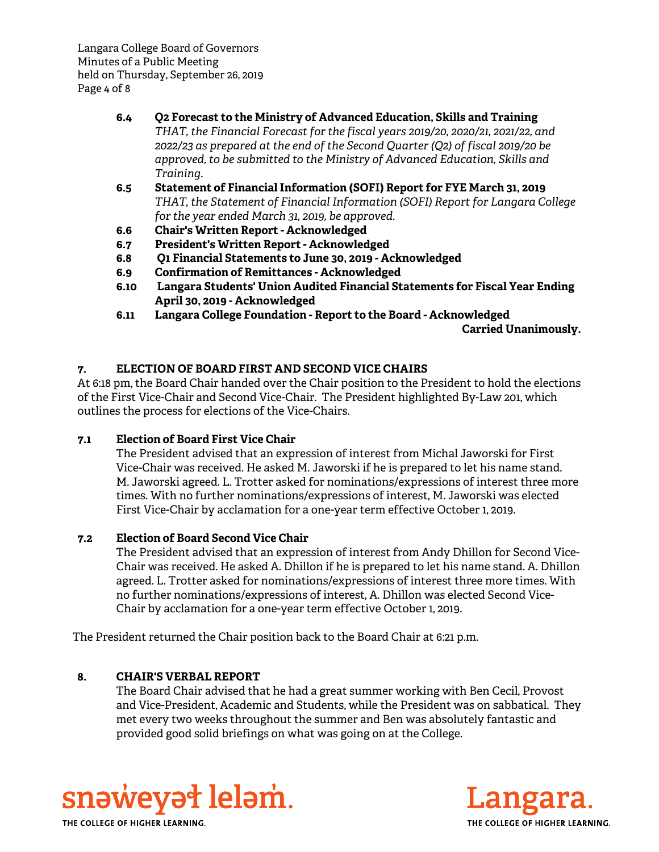Langara College Board of Governors Minutes of a Public Meeting held on Thursday, September 26, 2019 Page 4 of 8

- **6.4 Q2 Forecast to the Ministry of Advanced Education, Skills and Training** *THAT, the Financial Forecast for the fiscal years 2019/20, 2020/21, 2021/22, and 2022/23 as prepared at the end of the Second Quarter (Q2) of fiscal 2019/20 be approved, to be submitted to the Ministry of Advanced Education, Skills and Training.*
- **6.5 Statement of Financial Information (SOFI) Report for FYE March 31, 2019** *THAT, the Statement of Financial Information (SOFI) Report for Langara College for the year ended March 31, 2019, be approved.*
- **6.6 Chair's Written Report Acknowledged**
- **6.7 President's Written Report Acknowledged**
- **6.8 Q1 Financial Statements to June 30, 2019 Acknowledged**
- **6.9 Confirmation of Remittances Acknowledged**
- **6.10 Langara Students' Union Audited Financial Statements for Fiscal Year Ending April 30, 2019 - Acknowledged**
- **6.11 Langara College Foundation Report to the Board Acknowledged**

**Carried Unanimously.** 

# **7. ELECTION OF BOARD FIRST AND SECOND VICE CHAIRS**

At 6:18 pm, the Board Chair handed over the Chair position to the President to hold the elections of the First Vice-Chair and Second Vice-Chair. The President highlighted By-Law 201, which outlines the process for elections of the Vice-Chairs.

## **7.1 Election of Board First Vice Chair**

The President advised that an expression of interest from Michal Jaworski for First Vice-Chair was received. He asked M. Jaworski if he is prepared to let his name stand. M. Jaworski agreed. L. Trotter asked for nominations/expressions of interest three more times. With no further nominations/expressions of interest, M. Jaworski was elected First Vice-Chair by acclamation for a one-year term effective October 1, 2019.

## **7.2 Election of Board Second Vice Chair**

The President advised that an expression of interest from Andy Dhillon for Second Vice-Chair was received. He asked A. Dhillon if he is prepared to let his name stand. A. Dhillon agreed. L. Trotter asked for nominations/expressions of interest three more times. With no further nominations/expressions of interest, A. Dhillon was elected Second Vice-Chair by acclamation for a one-year term effective October 1, 2019.

The President returned the Chair position back to the Board Chair at 6:21 p.m.

## **8. CHAIR'S VERBAL REPORT**

The Board Chair advised that he had a great summer working with Ben Cecil, Provost and Vice-President, Academic and Students, while the President was on sabbatical. They met every two weeks throughout the summer and Ben was absolutely fantastic and provided good solid briefings on what was going on at the College.



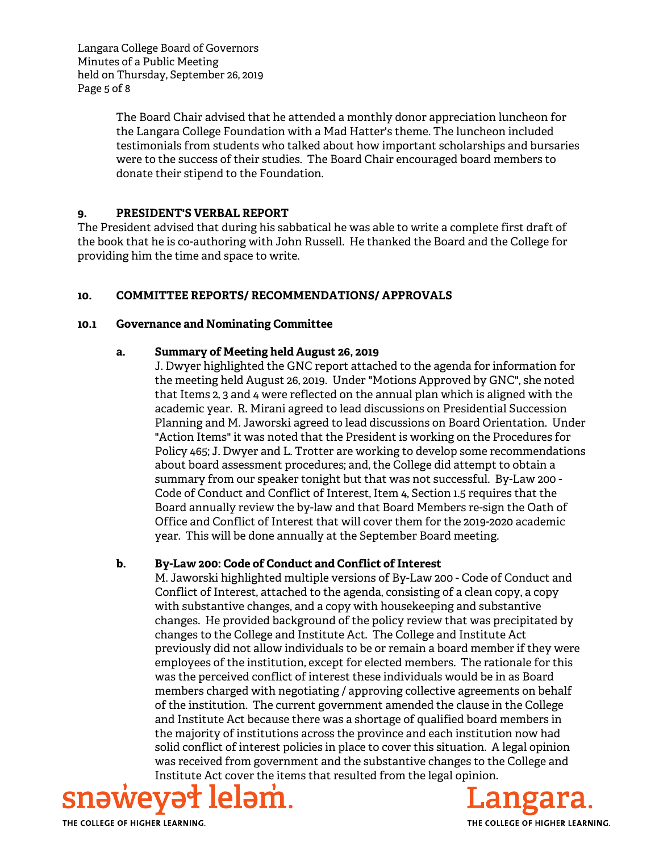Langara College Board of Governors Minutes of a Public Meeting held on Thursday, September 26, 2019 Page 5 of 8

> The Board Chair advised that he attended a monthly donor appreciation luncheon for the Langara College Foundation with a Mad Hatter's theme. The luncheon included testimonials from students who talked about how important scholarships and bursaries were to the success of their studies. The Board Chair encouraged board members to donate their stipend to the Foundation.

#### **9. PRESIDENT'S VERBAL REPORT**

The President advised that during his sabbatical he was able to write a complete first draft of the book that he is co-authoring with John Russell. He thanked the Board and the College for providing him the time and space to write.

# **10. COMMITTEE REPORTS/ RECOMMENDATIONS/ APPROVALS**

#### **10.1 Governance and Nominating Committee**

## **a. Summary of Meeting held August 26, 2019**

J. Dwyer highlighted the GNC report attached to the agenda for information for the meeting held August 26, 2019. Under "Motions Approved by GNC", she noted that Items 2, 3 and 4 were reflected on the annual plan which is aligned with the academic year. R. Mirani agreed to lead discussions on Presidential Succession Planning and M. Jaworski agreed to lead discussions on Board Orientation. Under "Action Items" it was noted that the President is working on the Procedures for Policy 465; J. Dwyer and L. Trotter are working to develop some recommendations about board assessment procedures; and, the College did attempt to obtain a summary from our speaker tonight but that was not successful. By-Law 200 - Code of Conduct and Conflict of Interest, Item 4, Section 1.5 requires that the Board annually review the by-law and that Board Members re-sign the Oath of Office and Conflict of Interest that will cover them for the 2019-2020 academic year. This will be done annually at the September Board meeting.

## **b. By-Law 200: Code of Conduct and Conflict of Interest**

M. Jaworski highlighted multiple versions of By-Law 200 - Code of Conduct and Conflict of Interest, attached to the agenda, consisting of a clean copy, a copy with substantive changes, and a copy with housekeeping and substantive changes. He provided background of the policy review that was precipitated by changes to the College and Institute Act. The College and Institute Act previously did not allow individuals to be or remain a board member if they were employees of the institution, except for elected members. The rationale for this was the perceived conflict of interest these individuals would be in as Board members charged with negotiating / approving collective agreements on behalf of the institution. The current government amended the clause in the College and Institute Act because there was a shortage of qualified board members in the majority of institutions across the province and each institution now had solid conflict of interest policies in place to cover this situation. A legal opinion was received from government and the substantive changes to the College and Institute Act cover the items that resulted from the legal opinion.



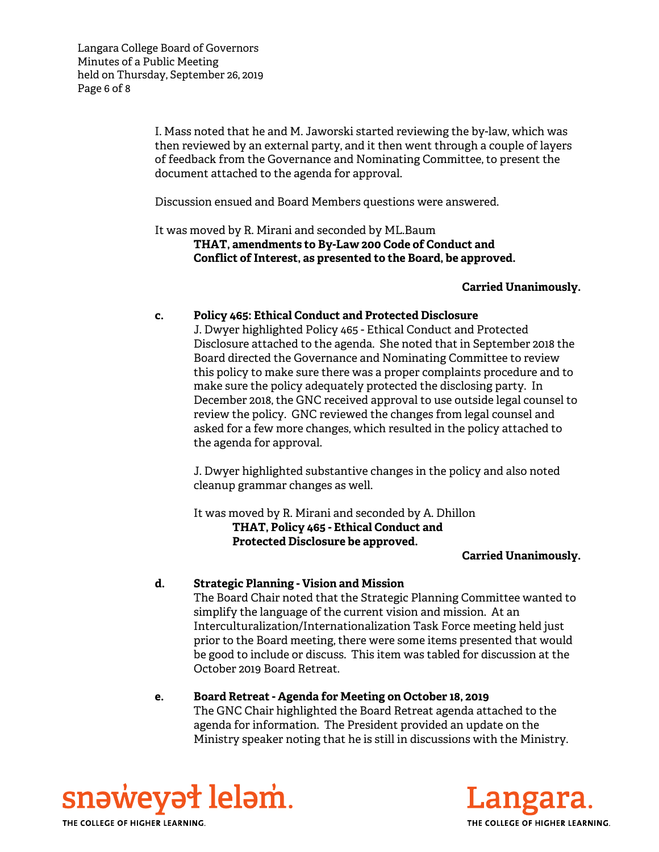Langara College Board of Governors Minutes of a Public Meeting held on Thursday, September 26, 2019 Page 6 of 8

> I. Mass noted that he and M. Jaworski started reviewing the by-law, which was then reviewed by an external party, and it then went through a couple of layers of feedback from the Governance and Nominating Committee, to present the document attached to the agenda for approval.

Discussion ensued and Board Members questions were answered.

It was moved by R. Mirani and seconded by ML.Baum **THAT, amendments to By-Law 200 Code of Conduct and Conflict of Interest, as presented to the Board, be approved.** 

#### **Carried Unanimously.**

#### **c. Policy 465: Ethical Conduct and Protected Disclosure**

J. Dwyer highlighted Policy 465 - Ethical Conduct and Protected Disclosure attached to the agenda. She noted that in September 2018 the Board directed the Governance and Nominating Committee to review this policy to make sure there was a proper complaints procedure and to make sure the policy adequately protected the disclosing party. In December 2018, the GNC received approval to use outside legal counsel to review the policy. GNC reviewed the changes from legal counsel and asked for a few more changes, which resulted in the policy attached to the agenda for approval.

J. Dwyer highlighted substantive changes in the policy and also noted cleanup grammar changes as well.

It was moved by R. Mirani and seconded by A. Dhillon  **THAT, Policy 465 - Ethical Conduct and Protected Disclosure be approved.**

#### **Carried Unanimously.**

#### **d. Strategic Planning - Vision and Mission**

The Board Chair noted that the Strategic Planning Committee wanted to simplify the language of the current vision and mission. At an Interculturalization/Internationalization Task Force meeting held just prior to the Board meeting, there were some items presented that would be good to include or discuss. This item was tabled for discussion at the October 2019 Board Retreat.

#### **e. Board Retreat - Agenda for Meeting on October 18, 2019** The GNC Chair highlighted the Board Retreat agenda attached to the agenda for information. The President provided an update on the Ministry speaker noting that he is still in discussions with the Ministry.



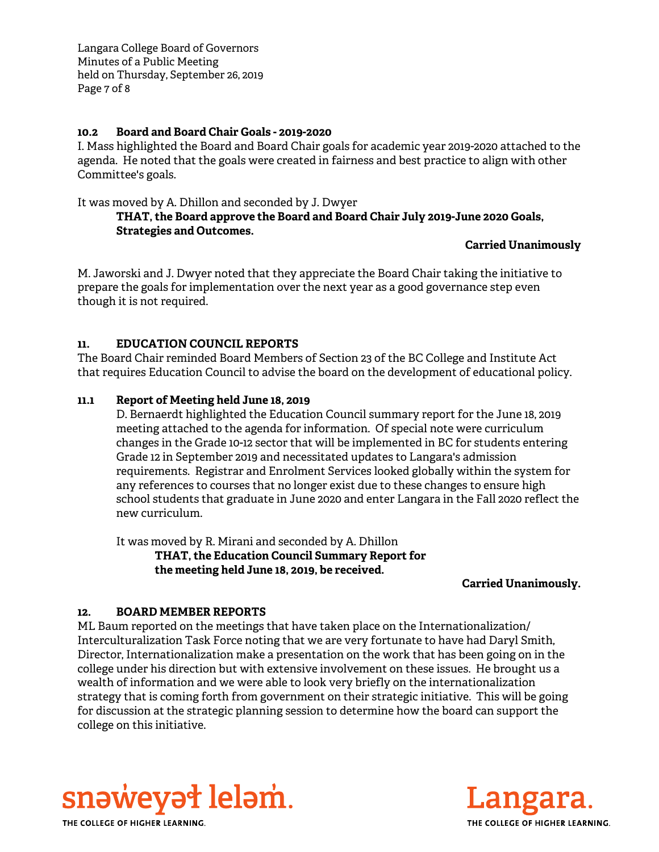Langara College Board of Governors Minutes of a Public Meeting held on Thursday, September 26, 2019 Page 7 of 8

#### **10.2 Board and Board Chair Goals - 2019-2020**

I. Mass highlighted the Board and Board Chair goals for academic year 2019-2020 attached to the agenda. He noted that the goals were created in fairness and best practice to align with other Committee's goals.

It was moved by A. Dhillon and seconded by J. Dwyer

## **THAT, the Board approve the Board and Board Chair July 2019-June 2020 Goals, Strategies and Outcomes.**

## **Carried Unanimously**

M. Jaworski and J. Dwyer noted that they appreciate the Board Chair taking the initiative to prepare the goals for implementation over the next year as a good governance step even though it is not required.

# **11. EDUCATION COUNCIL REPORTS**

The Board Chair reminded Board Members of Section 23 of the BC College and Institute Act that requires Education Council to advise the board on the development of educational policy.

## **11.1 Report of Meeting held June 18, 2019**

D. Bernaerdt highlighted the Education Council summary report for the June 18, 2019 meeting attached to the agenda for information. Of special note were curriculum changes in the Grade 10-12 sector that will be implemented in BC for students entering Grade 12 in September 2019 and necessitated updates to Langara's admission requirements. Registrar and Enrolment Services looked globally within the system for any references to courses that no longer exist due to these changes to ensure high school students that graduate in June 2020 and enter Langara in the Fall 2020 reflect the new curriculum.

It was moved by R. Mirani and seconded by A. Dhillon

**THAT, the Education Council Summary Report for the meeting held June 18, 2019, be received.**

#### **Carried Unanimously.**

## **12. BOARD MEMBER REPORTS**

ML Baum reported on the meetings that have taken place on the Internationalization/ Interculturalization Task Force noting that we are very fortunate to have had Daryl Smith, Director, Internationalization make a presentation on the work that has been going on in the college under his direction but with extensive involvement on these issues. He brought us a wealth of information and we were able to look very briefly on the internationalization strategy that is coming forth from government on their strategic initiative. This will be going for discussion at the strategic planning session to determine how the board can support the college on this initiative.